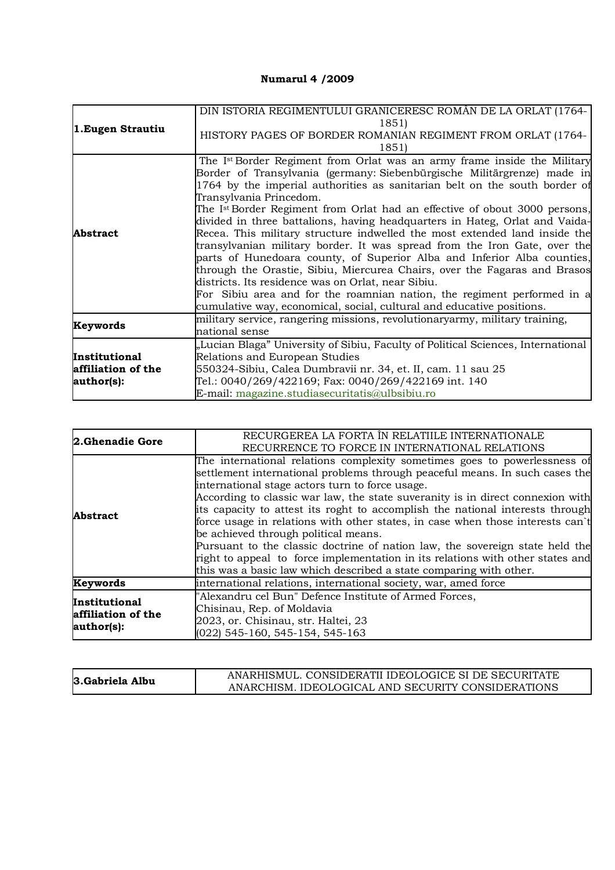## **Numarul 4 /2009**

| 1. Eugen Strautiu                                 | DIN ISTORIA REGIMENTULUI GRANICERESC ROMÂN DE LA ORLAT (1764-                                                                                                                                                                                                                                                                                                                                                                                                                                                                                                                                                                                                                          |
|---------------------------------------------------|----------------------------------------------------------------------------------------------------------------------------------------------------------------------------------------------------------------------------------------------------------------------------------------------------------------------------------------------------------------------------------------------------------------------------------------------------------------------------------------------------------------------------------------------------------------------------------------------------------------------------------------------------------------------------------------|
|                                                   | 1851)<br>HISTORY PAGES OF BORDER ROMANIAN REGIMENT FROM ORLAT (1764-                                                                                                                                                                                                                                                                                                                                                                                                                                                                                                                                                                                                                   |
|                                                   | 1851)                                                                                                                                                                                                                                                                                                                                                                                                                                                                                                                                                                                                                                                                                  |
| <b>Abstract</b>                                   | The Ist Border Regiment from Orlat was an army frame inside the Military<br>Border of Transylvania (germany: Siebenbürgische Militärgrenze) made in                                                                                                                                                                                                                                                                                                                                                                                                                                                                                                                                    |
|                                                   | 1764 by the imperial authorities as sanitarian belt on the south border of<br>Transylvania Princedom.                                                                                                                                                                                                                                                                                                                                                                                                                                                                                                                                                                                  |
|                                                   | The Ist Border Regiment from Orlat had an effective of obout 3000 persons,<br>divided in three battalions, having headquarters in Hateg, Orlat and Vaida-<br>Recea. This military structure indwelled the most extended land inside the<br>transylvanian military border. It was spread from the Iron Gate, over the<br>parts of Hunedoara county, of Superior Alba and Inferior Alba counties,<br>through the Orastie, Sibiu, Miercurea Chairs, over the Fagaras and Brasos<br>districts. Its residence was on Orlat, near Sibiu.<br>For Sibiu area and for the roamnian nation, the regiment performed in a<br>cumulative way, economical, social, cultural and educative positions. |
| Keywords                                          | military service, rangering missions, revolutionary army, military training,<br>national sense                                                                                                                                                                                                                                                                                                                                                                                                                                                                                                                                                                                         |
| Institutional<br>affiliation of the<br>author(s): | "Lucian Blaga" University of Sibiu, Faculty of Political Sciences, International<br>Relations and European Studies<br>550324-Sibiu, Calea Dumbravii nr. 34, et. II, cam. 11 sau 25<br>Tel.: 0040/269/422169; Fax: 0040/269/422169 int. 140                                                                                                                                                                                                                                                                                                                                                                                                                                             |
|                                                   | E-mail: magazine.studiasecuritatis@ulbsibiu.ro                                                                                                                                                                                                                                                                                                                                                                                                                                                                                                                                                                                                                                         |

| 2.Ghenadie Gore                                          | RECURGEREA LA FORTA ÎN RELATIILE INTERNATIONALE<br>RECURRENCE TO FORCE IN INTERNATIONAL RELATIONS                                                                                                                                                                                                                                                                                                                                                                                                                                                                                                                                                                                                                                                |
|----------------------------------------------------------|--------------------------------------------------------------------------------------------------------------------------------------------------------------------------------------------------------------------------------------------------------------------------------------------------------------------------------------------------------------------------------------------------------------------------------------------------------------------------------------------------------------------------------------------------------------------------------------------------------------------------------------------------------------------------------------------------------------------------------------------------|
| <b>Abstract</b>                                          | The international relations complexity sometimes goes to powerlessness of<br>settlement international problems through peaceful means. In such cases the<br>international stage actors turn to force usage.<br>According to classic war law, the state suveranity is in direct connexion with<br>its capacity to attest its roght to accomplish the national interests through<br>force usage in relations with other states, in case when those interests can't<br>be achieved through political means.<br>Pursuant to the classic doctrine of nation law, the sovereign state held the<br>right to appeal to force implementation in its relations with other states and<br>this was a basic law which described a state comparing with other. |
| Keywords                                                 | international relations, international society, war, amed force                                                                                                                                                                                                                                                                                                                                                                                                                                                                                                                                                                                                                                                                                  |
| <b>Institutional</b><br>affiliation of the<br>author(s): | "Alexandru cel Bun" Defence Institute of Armed Forces,<br>Chisinau, Rep. of Moldavia<br>2023, or. Chisinau, str. Haltei, 23<br>$(022)$ 545-160, 545-154, 545-163                                                                                                                                                                                                                                                                                                                                                                                                                                                                                                                                                                                 |

| 3. Gabriela Albu | ANARHISMUL. CONSIDERATII IDEOLOGICE SI DE SECURITATE |
|------------------|------------------------------------------------------|
|                  | ANARCHISM. IDEOLOGICAL AND SECURITY CONSIDERATIONS   |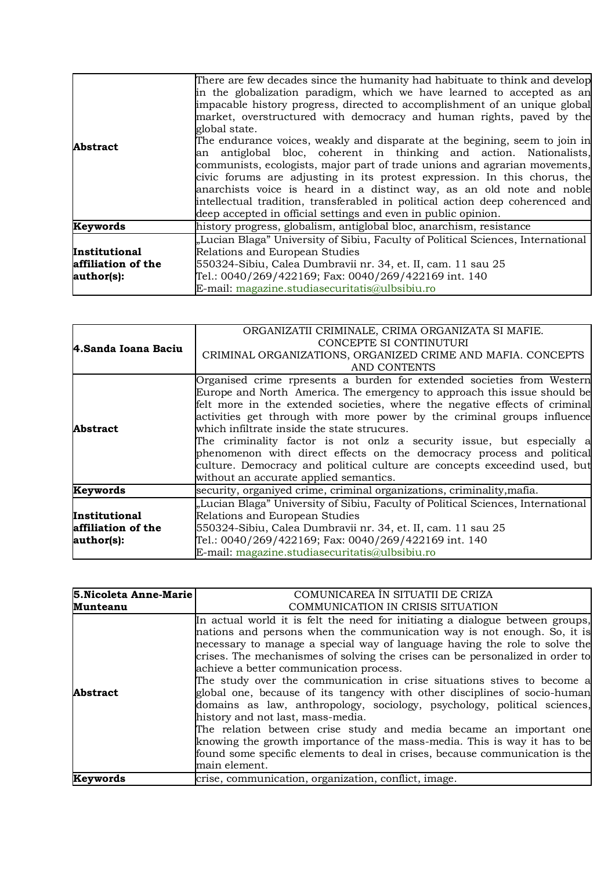| <b>Abstract</b>                                   | There are few decades since the humanity had habituate to think and develop<br>in the globalization paradigm, which we have learned to accepted as an<br>impacable history progress, directed to accomplishment of an unique global<br>market, overstructured with democracy and human rights, paved by the<br>global state.<br>The endurance voices, weakly and disparate at the begining, seem to join in<br>an antiglobal bloc, coherent in thinking and action. Nationalists,<br>communists, ecologists, major part of trade unions and agrarian movements,<br>civic forums are adjusting in its protest expression. In this chorus, the<br>anarchists voice is heard in a distinct way, as an old note and noble<br>intellectual tradition, transferabled in political action deep coherenced and<br>deep accepted in official settings and even in public opinion. |
|---------------------------------------------------|--------------------------------------------------------------------------------------------------------------------------------------------------------------------------------------------------------------------------------------------------------------------------------------------------------------------------------------------------------------------------------------------------------------------------------------------------------------------------------------------------------------------------------------------------------------------------------------------------------------------------------------------------------------------------------------------------------------------------------------------------------------------------------------------------------------------------------------------------------------------------|
| Keywords                                          | history progress, globalism, antiglobal bloc, anarchism, resistance                                                                                                                                                                                                                                                                                                                                                                                                                                                                                                                                                                                                                                                                                                                                                                                                      |
| Institutional<br>affiliation of the<br>author(s): | "Lucian Blaga" University of Sibiu, Faculty of Political Sciences, International<br>Relations and European Studies<br>550324-Sibiu, Calea Dumbravii nr. 34, et. II, cam. 11 sau 25<br>Tel.: 0040/269/422169; Fax: 0040/269/422169 int. 140<br>E-mail: magazine.studiasecuritatis@ulbsibiu.ro                                                                                                                                                                                                                                                                                                                                                                                                                                                                                                                                                                             |

| 4.Sanda Ioana Baciu | ORGANIZATII CRIMINALE, CRIMA ORGANIZATA SI MAFIE.<br>CONCEPTE SI CONTINUTURI     |
|---------------------|----------------------------------------------------------------------------------|
|                     | CRIMINAL ORGANIZATIONS, ORGANIZED CRIME AND MAFIA. CONCEPTS                      |
|                     | AND CONTENTS                                                                     |
|                     | Organised crime rpresents a burden for extended societies from Western           |
|                     | Europe and North America. The emergency to approach this issue should be         |
|                     | felt more in the extended societies, where the negative effects of criminal      |
| Abstract            | activities get through with more power by the criminal groups influence          |
|                     | which infiltrate inside the state strucures.                                     |
|                     | The criminality factor is not onlz a security issue, but especially a            |
|                     | phenomenon with direct effects on the democracy process and political            |
|                     | culture. Democracy and political culture are concepts exceedind used, but        |
|                     | without an accurate applied semantics.                                           |
| Keywords            | security, organived crime, criminal organizations, criminality, mafia.           |
|                     | "Lucian Blaga" University of Sibiu, Faculty of Political Sciences, International |
| Institutional       | Relations and European Studies                                                   |
| affiliation of the  | 550324-Sibiu, Calea Dumbravii nr. 34, et. II, cam. 11 sau 25                     |
| author(s):          | Tel.: 0040/269/422169; Fax: 0040/269/422169 int. 140                             |
|                     | E-mail: magazine.studiasecuritatis@ulbsibiu.ro                                   |

| 5. Nicoleta Anne-Marie | COMUNICAREA ÎN SITUATII DE CRIZA                                                                                                                                                                                                                                                                                                                                                                                                                                                                                                                                                                                                                                                                                                                                                                                                                                                                |
|------------------------|-------------------------------------------------------------------------------------------------------------------------------------------------------------------------------------------------------------------------------------------------------------------------------------------------------------------------------------------------------------------------------------------------------------------------------------------------------------------------------------------------------------------------------------------------------------------------------------------------------------------------------------------------------------------------------------------------------------------------------------------------------------------------------------------------------------------------------------------------------------------------------------------------|
| <b>Munteanu</b>        | COMMUNICATION IN CRISIS SITUATION                                                                                                                                                                                                                                                                                                                                                                                                                                                                                                                                                                                                                                                                                                                                                                                                                                                               |
| <b>Abstract</b>        | In actual world it is felt the need for initiating a dialogue between groups,<br>nations and persons when the communication way is not enough. So, it is<br>necessary to manage a special way of language having the role to solve the<br>crises. The mechanismes of solving the crises can be personalized in order to<br>achieve a better communication process.<br>The study over the communication in crise situations stives to become a<br>global one, because of its tangency with other disciplines of socio-human<br>domains as law, anthropology, sociology, psychology, political sciences,<br>history and not last, mass-media.<br>The relation between crise study and media became an important one<br>knowing the growth importance of the mass-media. This is way it has to be<br>found some specific elements to deal in crises, because communication is the<br>main element. |
| Keywords               | crise, communication, organization, conflict, image.                                                                                                                                                                                                                                                                                                                                                                                                                                                                                                                                                                                                                                                                                                                                                                                                                                            |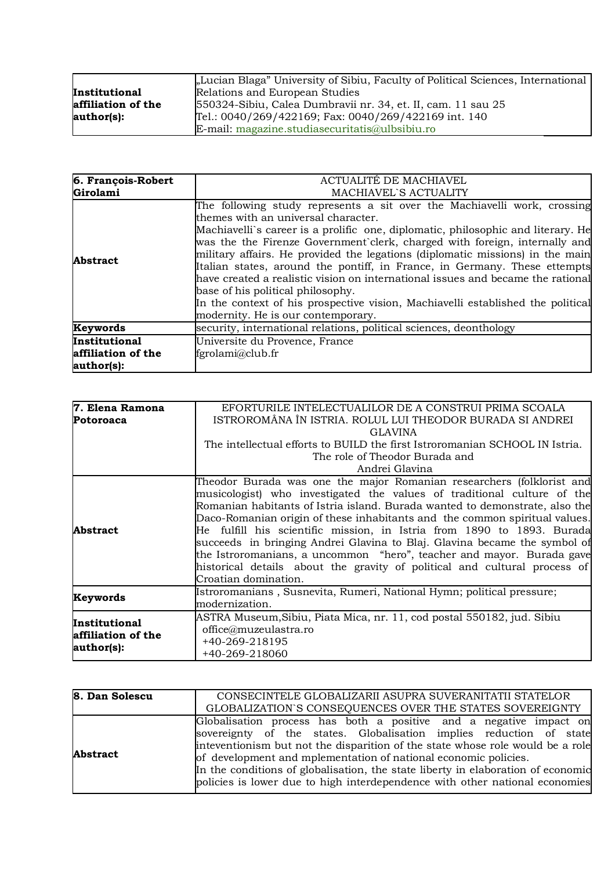|                    | "Lucian Blaga" University of Sibiu, Faculty of Political Sciences, International |
|--------------------|----------------------------------------------------------------------------------|
| Institutional      | Relations and European Studies                                                   |
| affiliation of the | 550324-Sibiu, Calea Dumbravii nr. 34, et. II, cam. 11 sau 25                     |
| author(s):         | Tel.: 0040/269/422169; Fax: 0040/269/422169 int. 140                             |
|                    | E-mail: magazine.studiasecuritatis@ulbsibiu.ro                                   |

| 6. François-Robert | ACTUALITÉ DE MACHIAVEL                                                                                                                                                                                                                                                                                                                                                                                                                                                                                                                                                                                                                                                                           |
|--------------------|--------------------------------------------------------------------------------------------------------------------------------------------------------------------------------------------------------------------------------------------------------------------------------------------------------------------------------------------------------------------------------------------------------------------------------------------------------------------------------------------------------------------------------------------------------------------------------------------------------------------------------------------------------------------------------------------------|
| Girolami           | <b>MACHIAVEL'S ACTUALITY</b>                                                                                                                                                                                                                                                                                                                                                                                                                                                                                                                                                                                                                                                                     |
| <b>Abstract</b>    | The following study represents a sit over the Machiavelli work, crossing<br>themes with an universal character.<br>Machiavelli's career is a prolific one, diplomatic, philosophic and literary. He<br>was the the Firenze Government clerk, charged with foreign, internally and<br>military affairs. He provided the legations (diplomatic missions) in the main<br>Italian states, around the pontiff, in France, in Germany. These ettempts<br>have created a realistic vision on international issues and became the rational<br>base of his political philosophy.<br>In the context of his prospective vision, Machiavelli established the political<br>modernity. He is our contemporary. |
| Keywords           | security, international relations, political sciences, deonthology                                                                                                                                                                                                                                                                                                                                                                                                                                                                                                                                                                                                                               |
| Institutional      | Universite du Provence, France                                                                                                                                                                                                                                                                                                                                                                                                                                                                                                                                                                                                                                                                   |
| affiliation of the | fgrolami@club.fr                                                                                                                                                                                                                                                                                                                                                                                                                                                                                                                                                                                                                                                                                 |
| author(s):         |                                                                                                                                                                                                                                                                                                                                                                                                                                                                                                                                                                                                                                                                                                  |

| 7. Elena Ramona                                   | EFORTURILE INTELECTUALILOR DE A CONSTRUI PRIMA SCOALA                                                                                                                                                                                                                                                                                                                                                                                                                                                                                                                                                                                              |
|---------------------------------------------------|----------------------------------------------------------------------------------------------------------------------------------------------------------------------------------------------------------------------------------------------------------------------------------------------------------------------------------------------------------------------------------------------------------------------------------------------------------------------------------------------------------------------------------------------------------------------------------------------------------------------------------------------------|
| <b>Potoroaca</b>                                  | ISTROROMÂNA ÎN ISTRIA. ROLUL LUI THEODOR BURADA SI ANDREI                                                                                                                                                                                                                                                                                                                                                                                                                                                                                                                                                                                          |
|                                                   | <b>GLAVINA</b>                                                                                                                                                                                                                                                                                                                                                                                                                                                                                                                                                                                                                                     |
|                                                   | The intellectual efforts to BUILD the first Istroromanian SCHOOL IN Istria.                                                                                                                                                                                                                                                                                                                                                                                                                                                                                                                                                                        |
|                                                   | The role of Theodor Burada and                                                                                                                                                                                                                                                                                                                                                                                                                                                                                                                                                                                                                     |
|                                                   | Andrei Glavina                                                                                                                                                                                                                                                                                                                                                                                                                                                                                                                                                                                                                                     |
| Abstract                                          | Theodor Burada was one the major Romanian researchers (folklorist and<br>musicologist) who investigated the values of traditional culture of the<br>Romanian habitants of Istria island. Burada wanted to demonstrate, also the<br>Daco-Romanian origin of these inhabitants and the common spiritual values.<br>He fulfill his scientific mission, in Istria from 1890 to 1893. Burada<br>succeeds in bringing Andrei Glavina to Blaj. Glavina became the symbol of<br>the Istroromanians, a uncommon "hero", teacher and mayor. Burada gave<br>historical details about the gravity of political and cultural process of<br>Croatian domination. |
| Keywords                                          | Istroromanians, Susnevita, Rumeri, National Hymn; political pressure;<br>modernization.                                                                                                                                                                                                                                                                                                                                                                                                                                                                                                                                                            |
| Institutional<br>affiliation of the<br>author(s): | ASTRA Museum,Sibiu, Piata Mica, nr. 11, cod postal 550182, jud. Sibiu<br>office@muzeulastra.ro<br>+40-269-218195<br>+40-269-218060                                                                                                                                                                                                                                                                                                                                                                                                                                                                                                                 |

| 8. Dan Solescu  | CONSECINTELE GLOBALIZARII ASUPRA SUVERANITATII STATELOR                          |
|-----------------|----------------------------------------------------------------------------------|
|                 | GLOBALIZATION'S CONSEQUENCES OVER THE STATES SOVEREIGNTY                         |
|                 | Globalisation process has both a positive and a negative impact on               |
| <b>Abstract</b> | sovereignty of the states. Globalisation implies reduction of state              |
|                 | inteventionism but not the disparition of the state whose role would be a role   |
|                 | of development and mplementation of national economic policies.                  |
|                 | In the conditions of globalisation, the state liberty in elaboration of economic |
|                 | policies is lower due to high interdependence with other national economies      |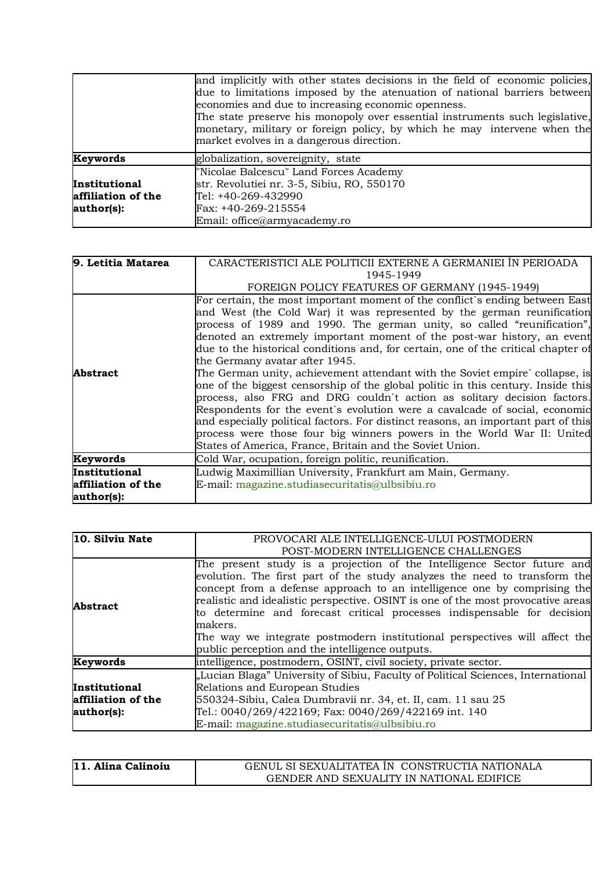|                    | and implicitly with other states decisions in the field of economic policies,<br>due to limitations imposed by the atenuation of national barriers between<br>economies and due to increasing economic openness.<br>The state preserve his monopoly over essential instruments such legislative,<br>monetary, military or foreign policy, by which he may intervene when the<br>market evolves in a dangerous direction. |
|--------------------|--------------------------------------------------------------------------------------------------------------------------------------------------------------------------------------------------------------------------------------------------------------------------------------------------------------------------------------------------------------------------------------------------------------------------|
| <b>Keywords</b>    | globalization, sovereignity, state                                                                                                                                                                                                                                                                                                                                                                                       |
|                    | "Nicolae Balcescu" Land Forces Academy                                                                                                                                                                                                                                                                                                                                                                                   |
| Institutional      | str. Revolutiei nr. 3-5, Sibiu, RO, 550170                                                                                                                                                                                                                                                                                                                                                                               |
| affiliation of the | Tel: +40-269-432990                                                                                                                                                                                                                                                                                                                                                                                                      |
| author(s):         | Fax: +40-269-215554                                                                                                                                                                                                                                                                                                                                                                                                      |
|                    | Email: office@armyacademy.ro                                                                                                                                                                                                                                                                                                                                                                                             |

| CARACTERISTICI ALE POLITICII EXTERNE A GERMANIEI ÎN PERIOADA<br>1945-1949                                                                                                                                                                                                                                                                                                                                                                                                                                                                                                                                                                                                                                                                                                                                                                                                                                                                                                                  |
|--------------------------------------------------------------------------------------------------------------------------------------------------------------------------------------------------------------------------------------------------------------------------------------------------------------------------------------------------------------------------------------------------------------------------------------------------------------------------------------------------------------------------------------------------------------------------------------------------------------------------------------------------------------------------------------------------------------------------------------------------------------------------------------------------------------------------------------------------------------------------------------------------------------------------------------------------------------------------------------------|
| FOREIGN POLICY FEATURES OF GERMANY (1945-1949)                                                                                                                                                                                                                                                                                                                                                                                                                                                                                                                                                                                                                                                                                                                                                                                                                                                                                                                                             |
| For certain, the most important moment of the conflict's ending between East<br>and West (the Cold War) it was represented by the german reunification<br>process of 1989 and 1990. The german unity, so called "reunification",<br>denoted an extremely important moment of the post-war history, an event<br>due to the historical conditions and, for certain, one of the critical chapter of<br>the Germany avatar after 1945.<br>The German unity, achievement attendant with the Soviet empire` collapse, is<br>one of the biggest censorship of the global politic in this century. Inside this<br>process, also FRG and DRG couldn't action as solitary decision factors.<br>Respondents for the event's evolution were a cavalcade of social, economic<br>and especially political factors. For distinct reasons, an important part of this<br>process were those four big winners powers in the World War II: United<br>States of America, France, Britain and the Soviet Union. |
| Cold War, ocupation, foreign politic, reunification.                                                                                                                                                                                                                                                                                                                                                                                                                                                                                                                                                                                                                                                                                                                                                                                                                                                                                                                                       |
| Ludwig Maximillian University, Frankfurt am Main, Germany.<br>E-mail: magazine.studiasecuritatis@ulbsibiu.ro                                                                                                                                                                                                                                                                                                                                                                                                                                                                                                                                                                                                                                                                                                                                                                                                                                                                               |
|                                                                                                                                                                                                                                                                                                                                                                                                                                                                                                                                                                                                                                                                                                                                                                                                                                                                                                                                                                                            |

| 10. Silviu Nate                                   | PROVOCARI ALE INTELLIGENCE-ULUI POSTMODERN                                                                                                                                                                                                                                                                                                                                                                                                                                                                                                  |
|---------------------------------------------------|---------------------------------------------------------------------------------------------------------------------------------------------------------------------------------------------------------------------------------------------------------------------------------------------------------------------------------------------------------------------------------------------------------------------------------------------------------------------------------------------------------------------------------------------|
|                                                   | POST-MODERN INTELLIGENCE CHALLENGES                                                                                                                                                                                                                                                                                                                                                                                                                                                                                                         |
| <b>Abstract</b>                                   | The present study is a projection of the Intelligence Sector future and<br>evolution. The first part of the study analyzes the need to transform the<br>concept from a defense approach to an intelligence one by comprising the<br>realistic and idealistic perspective. OSINT is one of the most provocative areas<br>to determine and forecast critical processes indispensable for decision<br>makers.<br>The way we integrate postmodern institutional perspectives will affect the<br>public perception and the intelligence outputs. |
| Keywords                                          | intelligence, postmodern, OSINT, civil society, private sector.                                                                                                                                                                                                                                                                                                                                                                                                                                                                             |
| Institutional<br>affiliation of the<br>author(s): | "Lucian Blaga" University of Sibiu, Faculty of Political Sciences, International<br>Relations and European Studies<br>550324-Sibiu, Calea Dumbravii nr. 34, et. II, cam. 11 sau 25<br>Tel.: 0040/269/422169; Fax: 0040/269/422169 int. 140<br>E-mail: magazine.studiasecuritatis@ulbsibiu.ro                                                                                                                                                                                                                                                |

| 11. Alina Calinoiu | GENUL SI SEXUALITATEA ÎN CONSTRUCTIA NATIONALA |
|--------------------|------------------------------------------------|
|                    | GENDER AND SEXUALITY IN NATIONAL EDIFICE       |